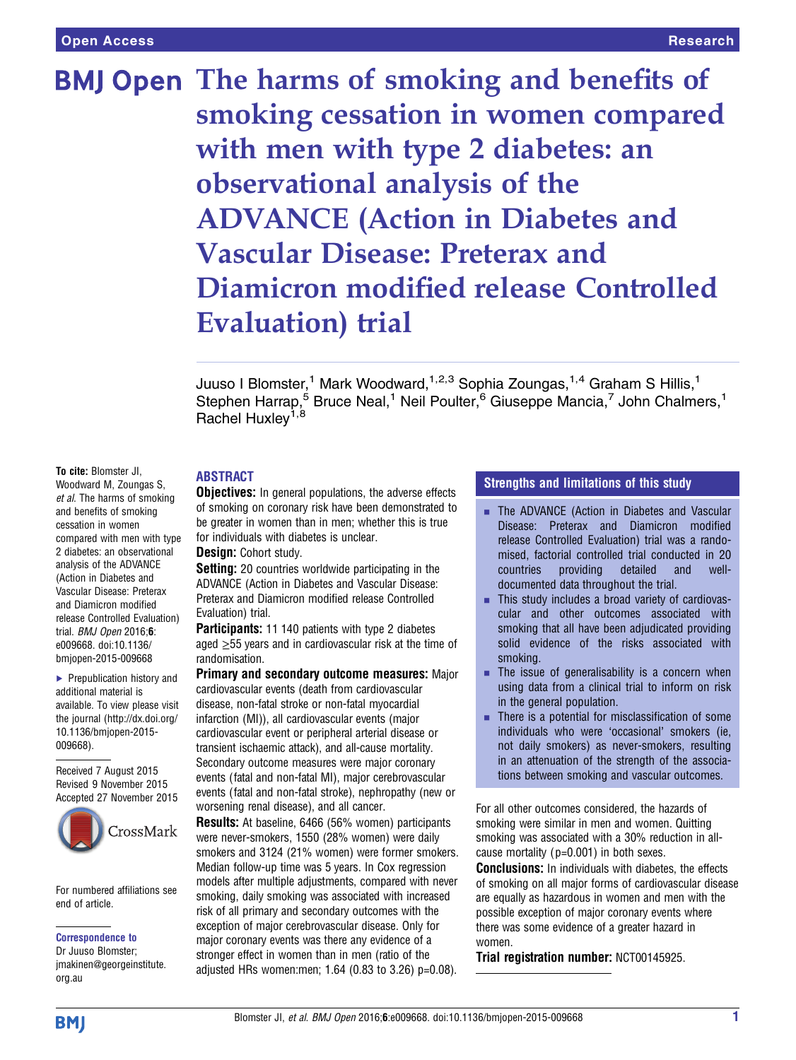BMJ Open The harms of smoking and benefits of smoking cessation in women compared with men with type 2 diabetes: an observational analysis of the ADVANCE (Action in Diabetes and Vascular Disease: Preterax and Diamicron modified release Controlled Evaluation) trial

> Juuso I Blomster,<sup>1</sup> Mark Woodward,<sup>1,2,3</sup> Sophia Zoungas,<sup>1,4</sup> Graham S Hillis,<sup>1</sup> Stephen Harrap,<sup>5</sup> Bruce Neal,<sup>1</sup> Neil Poulter,<sup>6</sup> Giuseppe Mancia,<sup>7</sup> John Chalmers,<sup>1</sup> Rachel Huxley<sup>1,8</sup>

# ABSTRACT

To cite: Blomster JI, Woodward M, Zoungas S, et al. The harms of smoking and benefits of smoking cessation in women compared with men with type 2 diabetes: an observational analysis of the ADVANCE (Action in Diabetes and Vascular Disease: Preterax and Diamicron modified release Controlled Evaluation) trial. **BMJ** Open 2016;6: e009668. doi:10.1136/ bmjopen-2015-009668

▶ Prepublication history and additional material is available. To view please visit the journal [\(http://dx.doi.org/](http://dx.doi.org/10.1136/bmjopen-2015-009668) [10.1136/bmjopen-2015-](http://dx.doi.org/10.1136/bmjopen-2015-009668) [009668\)](http://dx.doi.org/10.1136/bmjopen-2015-009668).

Received 7 August 2015 Revised 9 November 2015 [Accepted](http://crossmark.crossref.org/dialog/?doi=10.1136/bmjopen-2015-009668&domain=pdf&date_stamp=2016-01-08) [27](http://crossmark.crossref.org/dialog/?doi=10.1136/bmjopen-2015-009668&domain=pdf&date_stamp=2016-01-08) [November](http://crossmark.crossref.org/dialog/?doi=10.1136/bmjopen-2015-009668&domain=pdf&date_stamp=2016-01-08) [2015](http://crossmark.crossref.org/dialog/?doi=10.1136/bmjopen-2015-009668&domain=pdf&date_stamp=2016-01-08)



For numbered affiliations see end of article.

#### Correspondence to

Dr Juuso Blomster; jmakinen@georgeinstitute. org.au

**Objectives:** In general populations, the adverse effects of smoking on coronary risk have been demonstrated to be greater in women than in men; whether this is true for individuals with diabetes is unclear.

#### Design: Cohort study.

**Setting:** 20 countries worldwide participating in the ADVANCE (Action in Diabetes and Vascular Disease: Preterax and Diamicron modified release Controlled Evaluation) trial.

**Participants:** 11 140 patients with type 2 diabetes aged  $\geq$ 55 years and in cardiovascular risk at the time of randomisation.

Primary and secondary outcome measures: Major cardiovascular events (death from cardiovascular disease, non-fatal stroke or non-fatal myocardial infarction (MI)), all cardiovascular events (major cardiovascular event or peripheral arterial disease or transient ischaemic attack), and all-cause mortality. Secondary outcome measures were major coronary events (fatal and non-fatal MI), major cerebrovascular events (fatal and non-fatal stroke), nephropathy (new or worsening renal disease), and all cancer.

Results: At baseline, 6466 (56% women) participants were never-smokers, 1550 (28% women) were daily smokers and 3124 (21% women) were former smokers. Median follow-up time was 5 years. In Cox regression models after multiple adjustments, compared with never smoking, daily smoking was associated with increased risk of all primary and secondary outcomes with the exception of major cerebrovascular disease. Only for major coronary events was there any evidence of a stronger effect in women than in men (ratio of the adjusted HRs women:men; 1.64 (0.83 to 3.26) p=0.08).

# Strengths and limitations of this study

- **EXTERGHTMLE THE ADVANCE (Action in Diabetes and Vascular** Disease: Preterax and Diamicron modified release Controlled Evaluation) trial was a randomised, factorial controlled trial conducted in 20 countries providing detailed and welldocumented data throughout the trial.
- **EXECUTE:** This study includes a broad variety of cardiovascular and other outcomes associated with smoking that all have been adjudicated providing solid evidence of the risks associated with smoking.
- $\blacksquare$  The issue of generalisability is a concern when using data from a clinical trial to inform on risk in the general population.
- $\blacksquare$  There is a potential for misclassification of some individuals who were 'occasional' smokers (ie, not daily smokers) as never-smokers, resulting in an attenuation of the strength of the associations between smoking and vascular outcomes.

For all other outcomes considered, the hazards of smoking were similar in men and women. Quitting smoking was associated with a 30% reduction in allcause mortality (p=0.001) in both sexes.

**Conclusions:** In individuals with diabetes, the effects of smoking on all major forms of cardiovascular disease are equally as hazardous in women and men with the possible exception of major coronary events where there was some evidence of a greater hazard in women.

Trial registration number: NCT00145925.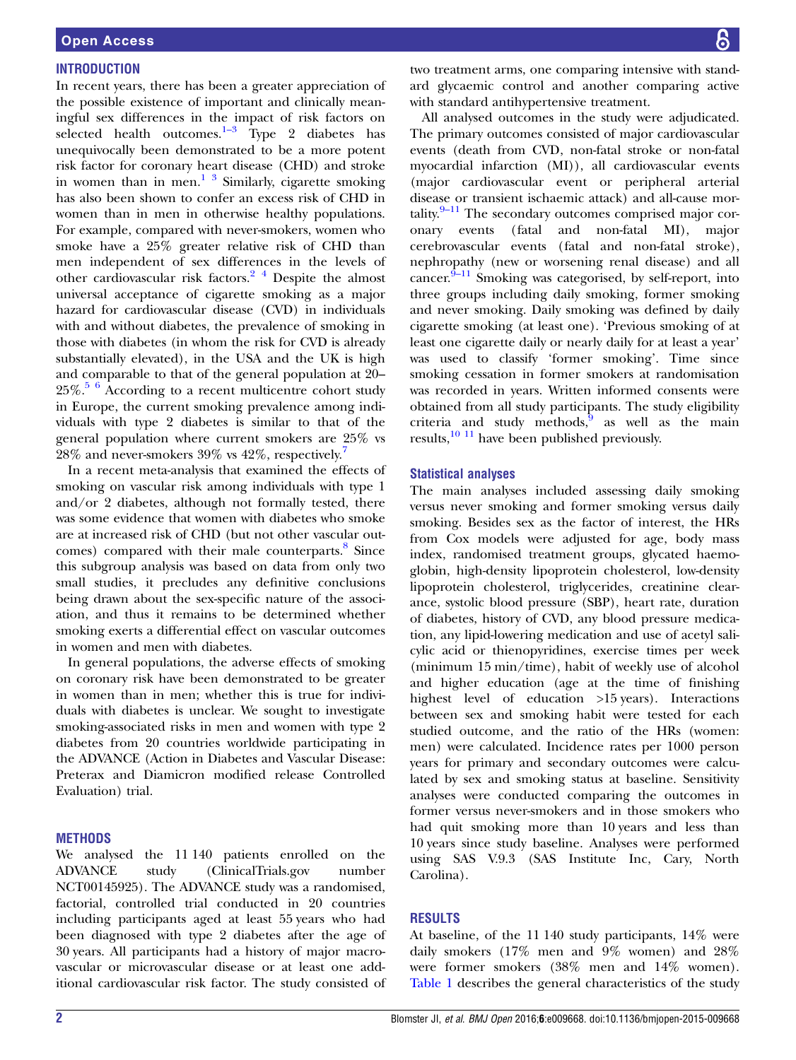# **INTRODUCTION**

In recent years, there has been a greater appreciation of the possible existence of important and clinically meaningful sex differences in the impact of risk factors on selected health outcomes. $\frac{1}{3}$  $\frac{1}{3}$  $\frac{1}{3}$  Type 2 diabetes has unequivocally been demonstrated to be a more potent risk factor for coronary heart disease (CHD) and stroke in women than in men. $1 \frac{3}{3}$  Similarly, cigarette smoking has also been shown to confer an excess risk of CHD in women than in men in otherwise healthy populations. For example, compared with never-smokers, women who smoke have a 25% greater relative risk of CHD than men independent of sex differences in the levels of other cardiovascular risk factors.[2 4](#page-6-0) Despite the almost universal acceptance of cigarette smoking as a major hazard for cardiovascular disease (CVD) in individuals with and without diabetes, the prevalence of smoking in those with diabetes (in whom the risk for CVD is already substantially elevated), in the USA and the UK is high and comparable to that of the general population at 20–  $25\%$ .<sup>[5 6](#page-6-0)</sup> According to a recent multicentre cohort study in Europe, the current smoking prevalence among individuals with type 2 diabetes is similar to that of the general population where current smokers are 25% vs  $28\%$  and never-smokers  $39\%$  vs  $42\%$ , respectively.<sup>7</sup>

In a recent meta-analysis that examined the effects of smoking on vascular risk among individuals with type 1 and/or 2 diabetes, although not formally tested, there was some evidence that women with diabetes who smoke are at increased risk of CHD (but not other vascular out-comes) compared with their male counterparts.<sup>[8](#page-6-0)</sup> Since this subgroup analysis was based on data from only two small studies, it precludes any definitive conclusions being drawn about the sex-specific nature of the association, and thus it remains to be determined whether smoking exerts a differential effect on vascular outcomes in women and men with diabetes.

In general populations, the adverse effects of smoking on coronary risk have been demonstrated to be greater in women than in men; whether this is true for individuals with diabetes is unclear. We sought to investigate smoking-associated risks in men and women with type 2 diabetes from 20 countries worldwide participating in the ADVANCE (Action in Diabetes and Vascular Disease: Preterax and Diamicron modified release Controlled Evaluation) trial.

# **METHODS**

We analysed the 11 140 patients enrolled on the ADVANCE study (ClinicalTrials.gov number NCT00145925). The ADVANCE study was a randomised, factorial, controlled trial conducted in 20 countries including participants aged at least 55 years who had been diagnosed with type 2 diabetes after the age of 30 years. All participants had a history of major macrovascular or microvascular disease or at least one additional cardiovascular risk factor. The study consisted of

two treatment arms, one comparing intensive with standard glycaemic control and another comparing active with standard antihypertensive treatment.

All analysed outcomes in the study were adjudicated. The primary outcomes consisted of major cardiovascular events (death from CVD, non-fatal stroke or non-fatal myocardial infarction (MI)), all cardiovascular events (major cardiovascular event or peripheral arterial disease or transient ischaemic attack) and all-cause mortality. $9-11$  $9-11$  The secondary outcomes comprised major coronary events (fatal and non-fatal MI), major cerebrovascular events (fatal and non-fatal stroke), nephropathy (new or worsening renal disease) and all cancer. $\frac{9-11}{9}$  $\frac{9-11}{9}$  $\frac{9-11}{9}$  Smoking was categorised, by self-report, into three groups including daily smoking, former smoking and never smoking. Daily smoking was defined by daily cigarette smoking (at least one). 'Previous smoking of at least one cigarette daily or nearly daily for at least a year' was used to classify 'former smoking'. Time since smoking cessation in former smokers at randomisation was recorded in years. Written informed consents were obtained from all study participants. The study eligibility criteria and study methods, $\overline{9}$  $\overline{9}$  $\overline{9}$  as well as the main results, $10^{-11}$  have been published previously.

#### Statistical analyses

The main analyses included assessing daily smoking versus never smoking and former smoking versus daily smoking. Besides sex as the factor of interest, the HRs from Cox models were adjusted for age, body mass index, randomised treatment groups, glycated haemoglobin, high-density lipoprotein cholesterol, low-density lipoprotein cholesterol, triglycerides, creatinine clearance, systolic blood pressure (SBP), heart rate, duration of diabetes, history of CVD, any blood pressure medication, any lipid-lowering medication and use of acetyl salicylic acid or thienopyridines, exercise times per week (minimum 15 min/time), habit of weekly use of alcohol and higher education (age at the time of finishing highest level of education >15 years). Interactions between sex and smoking habit were tested for each studied outcome, and the ratio of the HRs (women: men) were calculated. Incidence rates per 1000 person years for primary and secondary outcomes were calculated by sex and smoking status at baseline. Sensitivity analyses were conducted comparing the outcomes in former versus never-smokers and in those smokers who had quit smoking more than 10 years and less than 10 years since study baseline. Analyses were performed using SAS V.9.3 (SAS Institute Inc, Cary, North Carolina).

### RESULTS

At baseline, of the 11 140 study participants, 14% were daily smokers (17% men and 9% women) and 28% were former smokers (38% men and 14% women). [Table 1](#page-2-0) describes the general characteristics of the study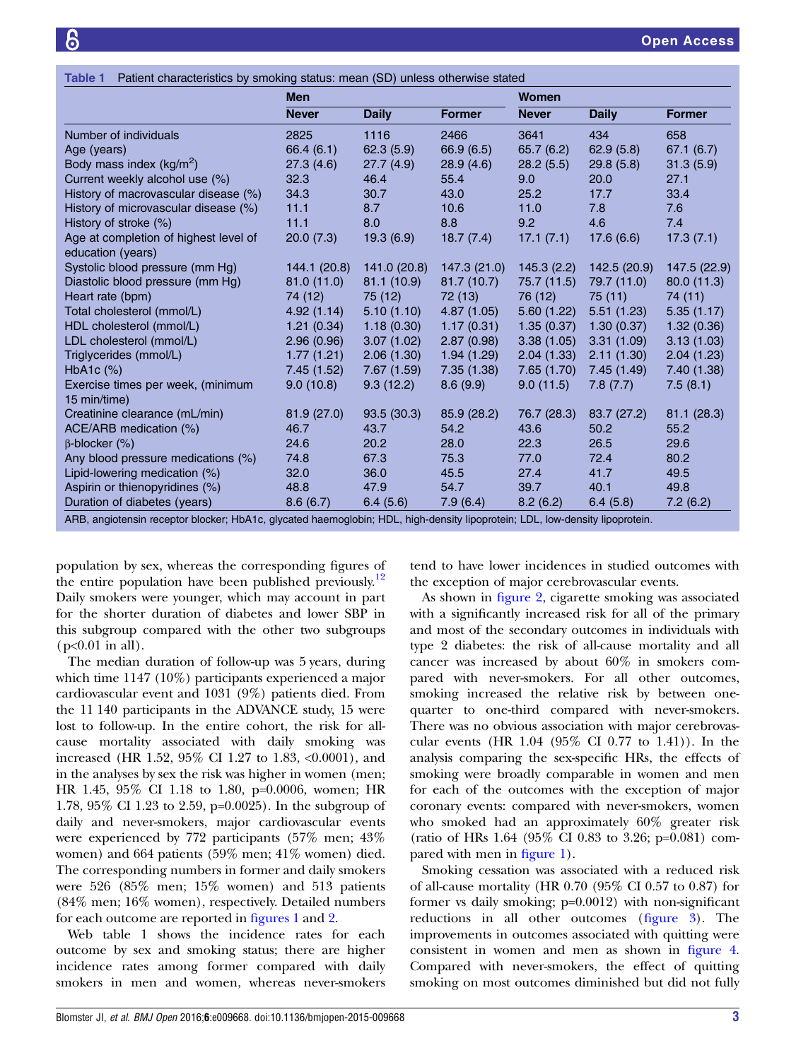<span id="page-2-0"></span>

|                                                   | <b>Men</b>   |              |               | <b>Women</b> |              |               |
|---------------------------------------------------|--------------|--------------|---------------|--------------|--------------|---------------|
|                                                   | <b>Never</b> | <b>Daily</b> | <b>Former</b> | <b>Never</b> | <b>Daily</b> | <b>Former</b> |
| Number of individuals                             | 2825         | 1116         | 2466          | 3641         | 434          | 658           |
| Age (years)                                       | 66.4 (6.1)   | 62.3(5.9)    | 66.9(6.5)     | 65.7(6.2)    | 62.9(5.8)    | 67.1(6.7)     |
| Body mass index $(kg/m^2)$                        | 27.3(4.6)    | 27.7(4.9)    | 28.9(4.6)     | 28.2(5.5)    | 29.8(5.8)    | 31.3(5.9)     |
| Current weekly alcohol use (%)                    | 32.3         | 46.4         | 55.4          | 9.0          | 20.0         | 27.1          |
| History of macrovascular disease (%)              | 34.3         | 30.7         | 43.0          | 25.2         | 17.7         | 33.4          |
| History of microvascular disease (%)              | 11.1         | 8.7          | 10.6          | 11.0         | 7.8          | 7.6           |
| History of stroke (%)                             | 11.1         | 8.0          | 8.8           | 9.2          | 4.6          | 7.4           |
| Age at completion of highest level of             | 20.0(7.3)    | 19.3(6.9)    | 18.7(7.4)     | 17.1(7.1)    | 17.6(6.6)    | 17.3(7.1)     |
| education (years)                                 |              |              |               |              |              |               |
| Systolic blood pressure (mm Hg)                   | 144.1 (20.8) | 141.0 (20.8) | 147.3 (21.0)  | 145.3(2.2)   | 142.5 (20.9) | 147.5 (22.9)  |
| Diastolic blood pressure (mm Hg)                  | 81.0(11.0)   | 81.1(10.9)   | 81.7(10.7)    | 75.7 (11.5)  | 79.7 (11.0)  | 80.0(11.3)    |
| Heart rate (bpm)                                  | 74 (12)      | 75 (12)      | 72 (13)       | 76 (12)      | 75(11)       | 74 (11)       |
| Total cholesterol (mmol/L)                        | 4.92(1.14)   | 5.10(1.10)   | 4.87(1.05)    | 5.60(1.22)   | 5.51(1.23)   | 5.35(1.17)    |
| HDL cholesterol (mmol/L)                          | 1.21(0.34)   | 1.18(0.30)   | 1.17(0.31)    | 1.35(0.37)   | 1.30(0.37)   | 1.32(0.36)    |
| LDL cholesterol (mmol/L)                          | 2.96(0.96)   | 3.07(1.02)   | 2.87(0.98)    | 3.38(1.05)   | 3.31(1.09)   | 3.13(1.03)    |
| Triglycerides (mmol/L)                            | 1.77(1.21)   | 2.06(1.30)   | 1.94(1.29)    | 2.04(1.33)   | 2.11(1.30)   | 2.04(1.23)    |
| HbA <sub>1</sub> c $(\%)$                         | 7.45 (1.52)  | 7.67(1.59)   | 7.35(1.38)    | 7.65(1.70)   | 7.45(1.49)   | 7.40 (1.38)   |
| Exercise times per week, (minimum<br>15 min/time) | 9.0(10.8)    | 9.3(12.2)    | 8.6(9.9)      | 9.0(11.5)    | 7.8(7.7)     | 7.5(8.1)      |
| Creatinine clearance (mL/min)                     | 81.9(27.0)   | 93.5(30.3)   | 85.9 (28.2)   | 76.7 (28.3)  | 83.7 (27.2)  | 81.1(28.3)    |
| ACE/ARB medication (%)                            | 46.7         | 43.7         | 54.2          | 43.6         | 50.2         | 55.2          |
| $\beta$ -blocker (%)                              | 24.6         | 20.2         | 28.0          | 22.3         | 26.5         | 29.6          |
| Any blood pressure medications (%)                | 74.8         | 67.3         | 75.3          | 77.0         | 72.4         | 80.2          |
| Lipid-lowering medication (%)                     | 32.0         | 36.0         | 45.5          | 27.4         | 41.7         | 49.5          |
| Aspirin or thienopyridines (%)                    | 48.8         | 47.9         | 54.7          | 39.7         | 40.1         | 49.8          |
| Duration of diabetes (years)                      | 8.6(6.7)     | 6.4(5.6)     | 7.9(6.4)      | 8.2(6.2)     | 6.4(5.8)     | 7.2(6.2)      |

population by sex, whereas the corresponding figures of the entire population have been published previously.<sup>[12](#page-6-0)</sup> Daily smokers were younger, which may account in part for the shorter duration of diabetes and lower SBP in this subgroup compared with the other two subgroups  $(p<0.01$  in all).

The median duration of follow-up was 5 years, during which time 1147 (10%) participants experienced a major cardiovascular event and 1031 (9%) patients died. From the 11 140 participants in the ADVANCE study, 15 were lost to follow-up. In the entire cohort, the risk for allcause mortality associated with daily smoking was increased (HR 1.52, 95% CI 1.27 to 1.83, <0.0001), and in the analyses by sex the risk was higher in women (men; HR 1.45, 95% CI 1.18 to 1.80, p=0.0006, women; HR 1.78, 95% CI 1.23 to 2.59, p=0.0025). In the subgroup of daily and never-smokers, major cardiovascular events were experienced by 772 participants (57% men; 43% women) and 664 patients (59% men; 41% women) died. The corresponding numbers in former and daily smokers were 526 (85% men; 15% women) and 513 patients (84% men; 16% women), respectively. Detailed numbers for each outcome are reported in fi[gures 1](#page-3-0) and [2.](#page-3-0)

Web table 1 shows the incidence rates for each outcome by sex and smoking status; there are higher incidence rates among former compared with daily smokers in men and women, whereas never-smokers

tend to have lower incidences in studied outcomes with the exception of major cerebrovascular events.

As shown in fi[gure 2,](#page-3-0) cigarette smoking was associated with a significantly increased risk for all of the primary and most of the secondary outcomes in individuals with type 2 diabetes: the risk of all-cause mortality and all cancer was increased by about 60% in smokers compared with never-smokers. For all other outcomes, smoking increased the relative risk by between onequarter to one-third compared with never-smokers. There was no obvious association with major cerebrovascular events (HR 1.04 (95% CI 0.77 to 1.41)). In the analysis comparing the sex-specific HRs, the effects of smoking were broadly comparable in women and men for each of the outcomes with the exception of major coronary events: compared with never-smokers, women who smoked had an approximately 60% greater risk (ratio of HRs 1.64 (95% CI 0.83 to 3.26; p=0.081) compared with men in fi[gure 1\)](#page-3-0).

Smoking cessation was associated with a reduced risk of all-cause mortality (HR 0.70 (95% CI 0.57 to 0.87) for former vs daily smoking; p=0.0012) with non-significant reductions in all other outcomes (fi[gure 3\)](#page-4-0). The improvements in outcomes associated with quitting were consistent in women and men as shown in fi[gure 4.](#page-4-0) Compared with never-smokers, the effect of quitting smoking on most outcomes diminished but did not fully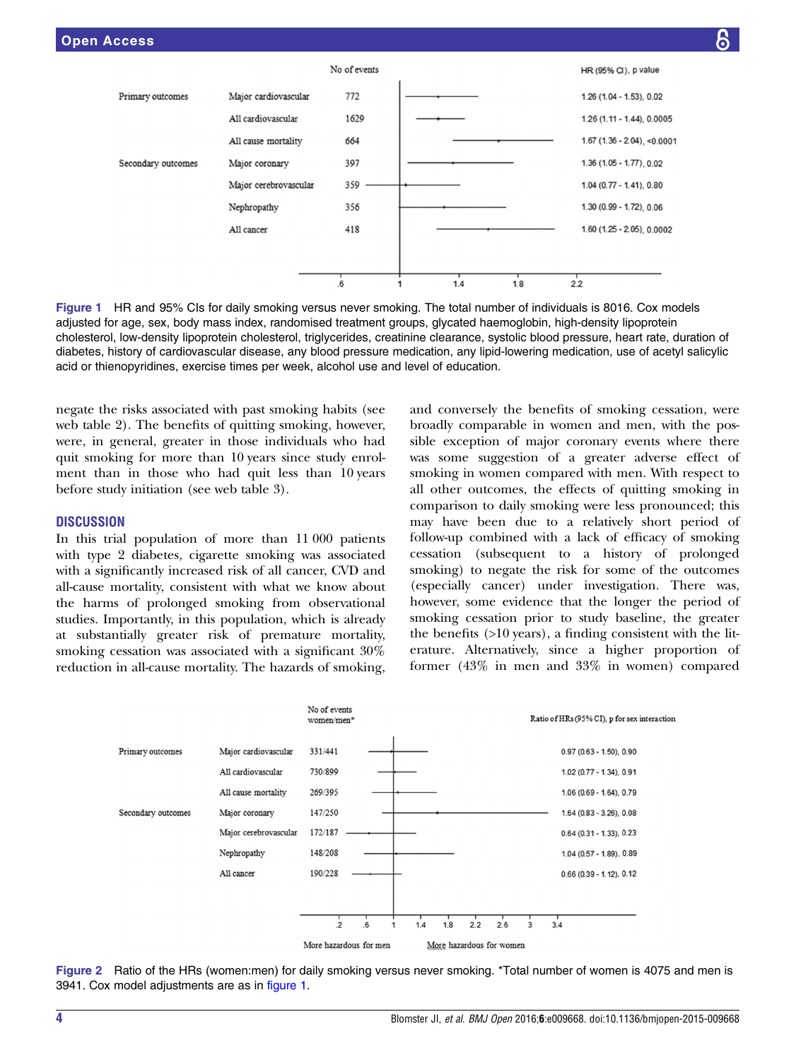<span id="page-3-0"></span>

Figure 1 HR and 95% CIs for daily smoking versus never smoking. The total number of individuals is 8016. Cox models adjusted for age, sex, body mass index, randomised treatment groups, glycated haemoglobin, high-density lipoprotein cholesterol, low-density lipoprotein cholesterol, triglycerides, creatinine clearance, systolic blood pressure, heart rate, duration of diabetes, history of cardiovascular disease, any blood pressure medication, any lipid-lowering medication, use of acetyl salicylic acid or thienopyridines, exercise times per week, alcohol use and level of education.

negate the risks associated with past smoking habits (see web table 2). The benefits of quitting smoking, however, were, in general, greater in those individuals who had quit smoking for more than 10 years since study enrolment than in those who had quit less than 10 years before study initiation (see web table 3).

## **DISCUSSION**

In this trial population of more than 11 000 patients with type 2 diabetes, cigarette smoking was associated with a significantly increased risk of all cancer, CVD and all-cause mortality, consistent with what we know about the harms of prolonged smoking from observational studies. Importantly, in this population, which is already at substantially greater risk of premature mortality, smoking cessation was associated with a significant 30% reduction in all-cause mortality. The hazards of smoking,

and conversely the benefits of smoking cessation, were broadly comparable in women and men, with the possible exception of major coronary events where there was some suggestion of a greater adverse effect of smoking in women compared with men. With respect to all other outcomes, the effects of quitting smoking in comparison to daily smoking were less pronounced; this may have been due to a relatively short period of follow-up combined with a lack of efficacy of smoking cessation (subsequent to a history of prolonged smoking) to negate the risk for some of the outcomes (especially cancer) under investigation. There was, however, some evidence that the longer the period of smoking cessation prior to study baseline, the greater the benefits (>10 years), a finding consistent with the literature. Alternatively, since a higher proportion of former (43% in men and 33% in women) compared



Figure 2 Ratio of the HRs (women:men) for daily smoking versus never smoking. \*Total number of women is 4075 and men is 3941. Cox model adjustments are as in figure 1.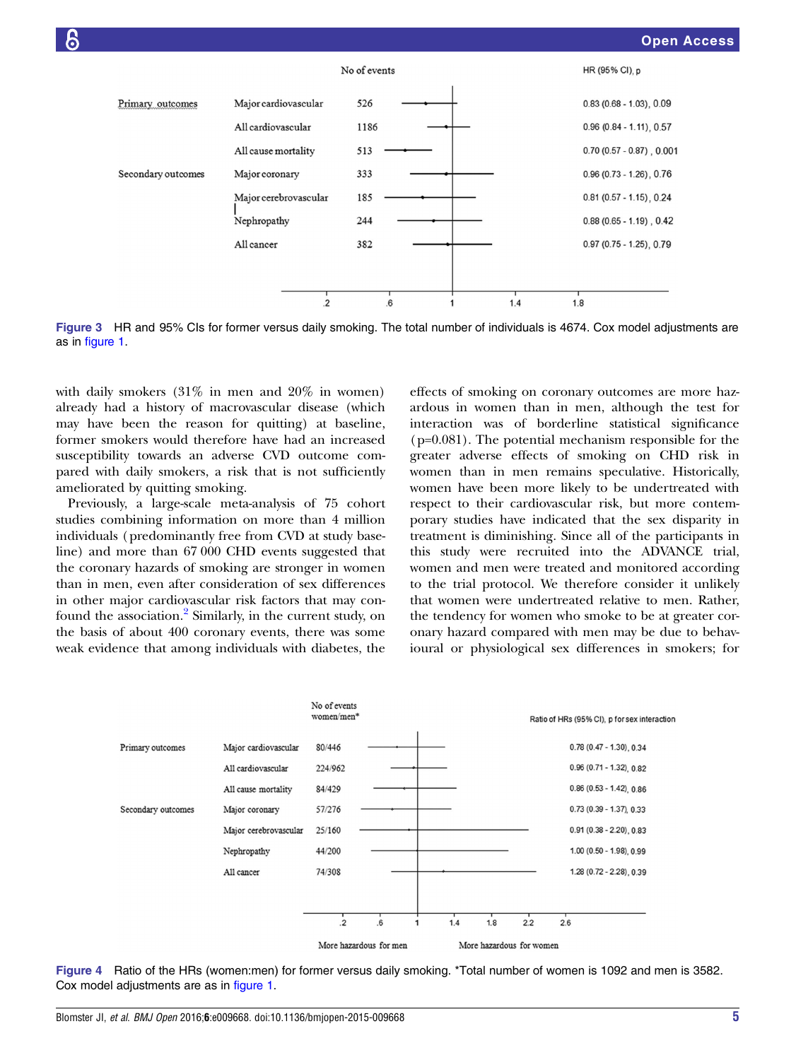<span id="page-4-0"></span>

Figure 3 HR and 95% CIs for former versus daily smoking. The total number of individuals is 4674. Cox model adjustments are as in [figure 1](#page-3-0).

with daily smokers (31% in men and 20% in women) already had a history of macrovascular disease (which may have been the reason for quitting) at baseline, former smokers would therefore have had an increased susceptibility towards an adverse CVD outcome compared with daily smokers, a risk that is not sufficiently ameliorated by quitting smoking.

Previously, a large-scale meta-analysis of 75 cohort studies combining information on more than 4 million individuals (predominantly free from CVD at study baseline) and more than 67 000 CHD events suggested that the coronary hazards of smoking are stronger in women than in men, even after consideration of sex differences in other major cardiovascular risk factors that may con-found the association.<sup>[2](#page-6-0)</sup> Similarly, in the current study, on the basis of about 400 coronary events, there was some weak evidence that among individuals with diabetes, the

effects of smoking on coronary outcomes are more hazardous in women than in men, although the test for interaction was of borderline statistical significance (p=0.081). The potential mechanism responsible for the greater adverse effects of smoking on CHD risk in women than in men remains speculative. Historically, women have been more likely to be undertreated with respect to their cardiovascular risk, but more contemporary studies have indicated that the sex disparity in treatment is diminishing. Since all of the participants in this study were recruited into the ADVANCE trial, women and men were treated and monitored according to the trial protocol. We therefore consider it unlikely that women were undertreated relative to men. Rather, the tendency for women who smoke to be at greater coronary hazard compared with men may be due to behavioural or physiological sex differences in smokers; for



Figure 4 Ratio of the HRs (women:men) for former versus daily smoking. \*Total number of women is 1092 and men is 3582. Cox model adjustments are as in [figure 1.](#page-3-0)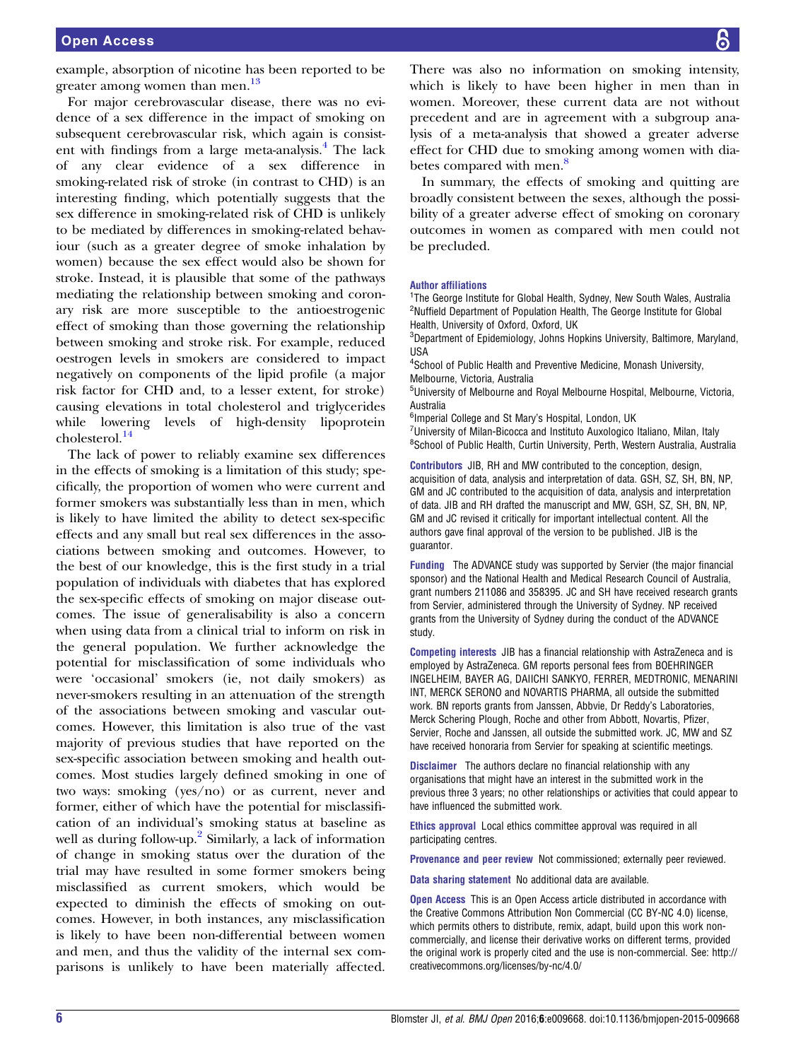example, absorption of nicotine has been reported to be greater among women than men.<sup>[13](#page-6-0)</sup>

For major cerebrovascular disease, there was no evidence of a sex difference in the impact of smoking on subsequent cerebrovascular risk, which again is consistent with findings from a large meta-analysis. $<sup>4</sup>$  $<sup>4</sup>$  $<sup>4</sup>$  The lack</sup> of any clear evidence of a sex difference in smoking-related risk of stroke (in contrast to CHD) is an interesting finding, which potentially suggests that the sex difference in smoking-related risk of CHD is unlikely to be mediated by differences in smoking-related behaviour (such as a greater degree of smoke inhalation by women) because the sex effect would also be shown for stroke. Instead, it is plausible that some of the pathways mediating the relationship between smoking and coronary risk are more susceptible to the antioestrogenic effect of smoking than those governing the relationship between smoking and stroke risk. For example, reduced oestrogen levels in smokers are considered to impact negatively on components of the lipid profile (a major risk factor for CHD and, to a lesser extent, for stroke) causing elevations in total cholesterol and triglycerides while lowering levels of high-density lipoprotein cholesterol.[14](#page-6-0)

The lack of power to reliably examine sex differences in the effects of smoking is a limitation of this study; specifically, the proportion of women who were current and former smokers was substantially less than in men, which is likely to have limited the ability to detect sex-specific effects and any small but real sex differences in the associations between smoking and outcomes. However, to the best of our knowledge, this is the first study in a trial population of individuals with diabetes that has explored the sex-specific effects of smoking on major disease outcomes. The issue of generalisability is also a concern when using data from a clinical trial to inform on risk in the general population. We further acknowledge the potential for misclassification of some individuals who were 'occasional' smokers (ie, not daily smokers) as never-smokers resulting in an attenuation of the strength of the associations between smoking and vascular outcomes. However, this limitation is also true of the vast majority of previous studies that have reported on the sex-specific association between smoking and health outcomes. Most studies largely defined smoking in one of two ways: smoking (yes/no) or as current, never and former, either of which have the potential for misclassification of an individual's smoking status at baseline as well as during follow-up.<sup>[2](#page-6-0)</sup> Similarly, a lack of information of change in smoking status over the duration of the trial may have resulted in some former smokers being misclassified as current smokers, which would be expected to diminish the effects of smoking on outcomes. However, in both instances, any misclassification is likely to have been non-differential between women and men, and thus the validity of the internal sex comparisons is unlikely to have been materially affected.

There was also no information on smoking intensity, which is likely to have been higher in men than in women. Moreover, these current data are not without precedent and are in agreement with a subgroup analysis of a meta-analysis that showed a greater adverse effect for CHD due to smoking among women with dia-betes compared with men.<sup>[8](#page-6-0)</sup>

In summary, the effects of smoking and quitting are broadly consistent between the sexes, although the possibility of a greater adverse effect of smoking on coronary outcomes in women as compared with men could not be precluded.

#### Author affiliations

<sup>1</sup>The George Institute for Global Health, Sydney, New South Wales, Australia <sup>2</sup>Nuffield Department of Population Health, The George Institute for Global Health, University of Oxford, Oxford, UK

<sup>3</sup>Department of Epidemiology, Johns Hopkins University, Baltimore, Maryland, USA

4 School of Public Health and Preventive Medicine, Monash University, Melbourne, Victoria, Australia

5 University of Melbourne and Royal Melbourne Hospital, Melbourne, Victoria, Australia

<sup>6</sup>Imperial College and St Mary's Hospital, London, UK

<sup>7</sup>University of Milan-Bicocca and Instituto Auxologico Italiano, Milan, Italy <sup>8</sup>School of Public Health, Curtin University, Perth, Western Australia, Australia

Contributors JIB, RH and MW contributed to the conception, design, acquisition of data, analysis and interpretation of data. GSH, SZ, SH, BN, NP, GM and JC contributed to the acquisition of data, analysis and interpretation of data. JIB and RH drafted the manuscript and MW, GSH, SZ, SH, BN, NP, GM and JC revised it critically for important intellectual content. All the authors gave final approval of the version to be published. JIB is the guarantor.

Funding The ADVANCE study was supported by Servier (the major financial sponsor) and the National Health and Medical Research Council of Australia, grant numbers 211086 and 358395. JC and SH have received research grants from Servier, administered through the University of Sydney. NP received grants from the University of Sydney during the conduct of the ADVANCE study.

Competing interests JIB has a financial relationship with AstraZeneca and is employed by AstraZeneca. GM reports personal fees from BOEHRINGER INGELHEIM, BAYER AG, DAIICHI SANKYO, FERRER, MEDTRONIC, MENARINI INT, MERCK SERONO and NOVARTIS PHARMA, all outside the submitted work. BN reports grants from Janssen, Abbvie, Dr Reddy's Laboratories, Merck Schering Plough, Roche and other from Abbott, Novartis, Pfizer, Servier, Roche and Janssen, all outside the submitted work. JC, MW and SZ have received honoraria from Servier for speaking at scientific meetings.

Disclaimer The authors declare no financial relationship with any organisations that might have an interest in the submitted work in the previous three 3 years; no other relationships or activities that could appear to have influenced the submitted work.

Ethics approval Local ethics committee approval was required in all participating centres.

Provenance and peer review Not commissioned; externally peer reviewed.

Data sharing statement No additional data are available.

**Open Access** This is an Open Access article distributed in accordance with the Creative Commons Attribution Non Commercial (CC BY-NC 4.0) license, which permits others to distribute, remix, adapt, build upon this work noncommercially, and license their derivative works on different terms, provided the original work is properly cited and the use is non-commercial. See: [http://](http://creativecommons.org/licenses/by-nc/4.0/) [creativecommons.org/licenses/by-nc/4.0/](http://creativecommons.org/licenses/by-nc/4.0/)